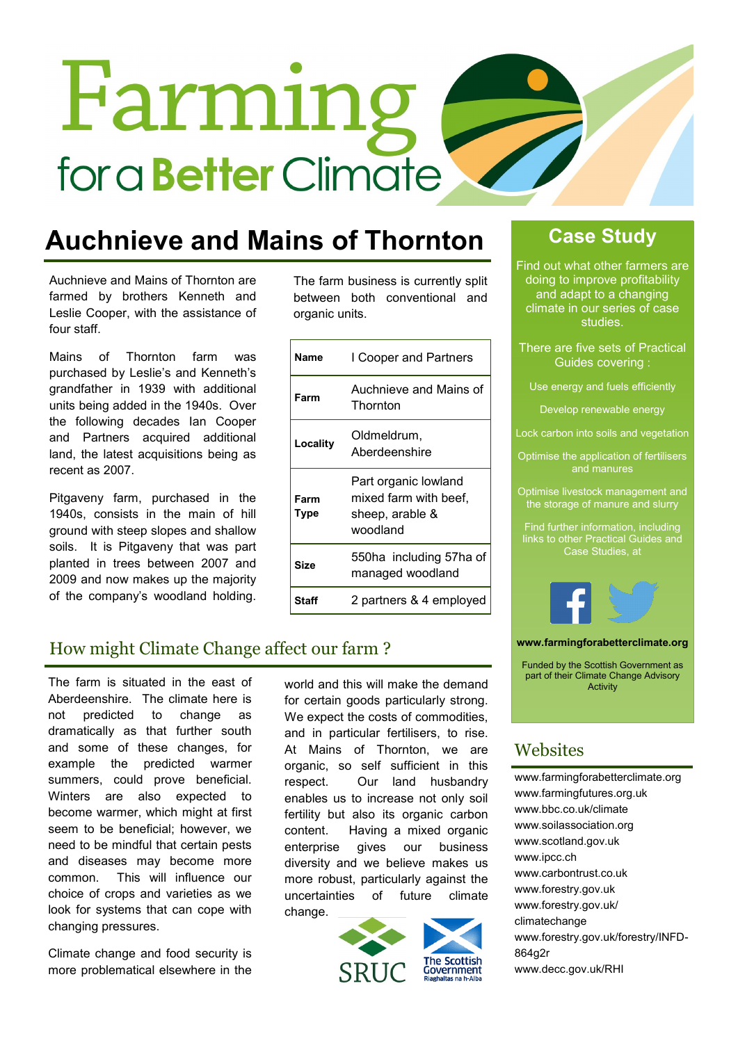# **Farming** for a **Better** Climate

# **Auchnieve and Mains of Thornton**

Auchnieve and Mains of Thornton are farmed by brothers Kenneth and Leslie Cooper, with the assistance of four staff.

Mains of Thornton farm was purchased by Leslie's and Kenneth's grandfather in 1939 with additional units being added in the 1940s. Over the following decades Ian Cooper and Partners acquired additional land, the latest acquisitions being as recent as 2007.

Pitgaveny farm, purchased in the 1940s, consists in the main of hill ground with steep slopes and shallow soils. It is Pitgaveny that was part planted in trees between 2007 and 2009 and now makes up the majority of the company's woodland holding.

The farm business is currently split between both conventional and organic units.

| Name         | I Cooper and Partners                                                        |
|--------------|------------------------------------------------------------------------------|
| Farm         | Auchnieve and Mains of<br>Thornton                                           |
| Locality     | Oldmeldrum,<br>Aberdeenshire                                                 |
| Farm<br>Type | Part organic lowland<br>mixed farm with beef,<br>sheep, arable &<br>woodland |
| Size         | 550ha including 57ha of<br>managed woodland                                  |
| Sta          | 2 partners & 4 employed                                                      |

# **Case Study**

Find out what other farmers are doing to improve profitability and adapt to a changing climate in our series of case studies.

- There are five sets of Practical Guides covering :
- Use energy and fuels efficiently

Develop renewable energy

Lock carbon into soils and vegetation

- Optimise the application of fertilisers and manures
- Optimise livestock management and the storage of manure and slurry

Find further information, including links to other Practical Guides and Case Studies, at



**www.farmingforabetterclimate.org**

Funded by the Scottish Government as part of their Climate Change Advisory **Activity** 

# **Websites**

[www.farmingforabetterclimate.org](http://www.farmingforabetterclimate.org) [www.farmingfutures.org.uk](http://www.farmingfutures.org.uk) [www.bbc.co.uk/climate](http://www.bbc.co.uk/climate) [www.soilassociation.org](http://www.soilassociation.org) [www.scotland.gov.uk](http://www.scotland.gov.uk) [www.ipcc.ch](http://www.ipcc.ch) [www.carbontrust.co.uk](http://www.carbontrust.co.uk) [www.forestry.gov.uk](http://www.forestry.gov.uk) [www.forestry.gov.uk/](http://www.forestry.gov.uk/climatechange) [climatechange](http://www.forestry.gov.uk/climatechange) [www.forestry.gov.uk/forestry/INFD](http://www.forestry.gov.uk/forestry/INFD-864g2r)-[864g2r](http://www.forestry.gov.uk/forestry/INFD-864g2r) [www.decc.gov.uk/RHI](http://www.decc.gov.uk/RHI)

# How might Climate Change affect our farm ?

The farm is situated in the east of Aberdeenshire. The climate here is not predicted to change as dramatically as that further south and some of these changes, for example the predicted warmer summers, could prove beneficial. Winters are also expected to become warmer, which might at first seem to be beneficial; however, we need to be mindful that certain pests and diseases may become more common. This will influence our choice of crops and varieties as we look for systems that can cope with changing pressures.

Climate change and food security is more problematical elsewhere in the world and this will make the demand for certain goods particularly strong. We expect the costs of commodities, and in particular fertilisers, to rise. At Mains of Thornton, we are organic, so self sufficient in this respect. Our land husbandry enables us to increase not only soil fertility but also its organic carbon content. Having a mixed organic enterprise gives our business diversity and we believe makes us more robust, particularly against the uncertainties of future climate change.